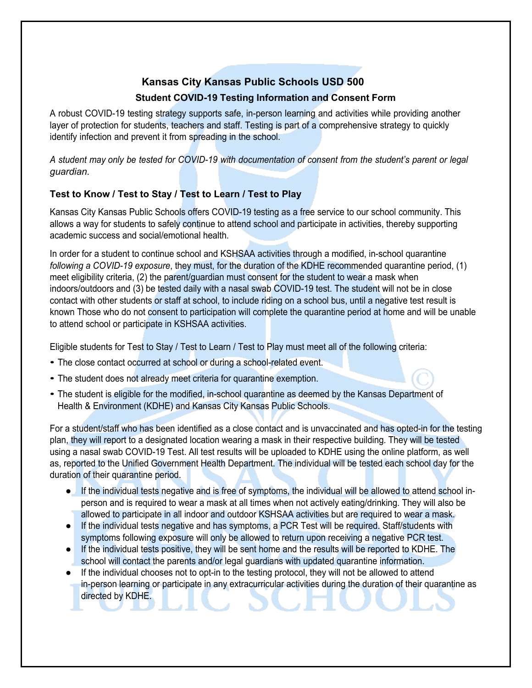## **Kansas City Kansas Public Schools USD 500**

## **Student COVID-19 Testing Information and Consent Form**

A robust COVID-19 testing strategy supports safe, in-person learning and activities while providing another layer of protection for students, teachers and staff. Testing is part of a comprehensive strategy to quickly identify infection and prevent it from spreading in the school.

A student may only be tested for COVID-19 with documentation of consent from the student's parent or legal *guardian.*

## **Test to Know / Test to Stay / Test to Learn / Test to Play**

Kansas City Kansas Public Schools offers COVID-19 testing as a free service to our school community. This allows a way for students to safely continue to attend school and participate in activities, thereby supporting academic success and social/emotional health.

In order for a student to continue school and KSHSAA activities through a modified, in-school quarantine *following a COVID-19 exposure*, they must, for the duration of the KDHE recommended quarantine period, (1) meet eligibility criteria, (2) the parent/guardian must consent for the student to wear a mask when indoors/outdoors and (3) be tested daily with a nasal swab COVID-19 test. The student will not be in close contact with other students or staff at school, to include riding on a school bus, until a negative test result is known Those who do not consent to participation will complete the quarantine period at home and will be unable to attend school or participate in KSHSAA activities.

Eligible students for Test to Stay / Test to Learn / Test to Play must meet all of the following criteria:

- The close contact occurred at school or during a school-related event.
- The student does not already meet criteria for quarantine exemption.
- The student is eligible for the modified, in-school quarantine as deemed by the Kansas Department of Health & Environment (KDHE) and Kansas City Kansas Public Schools.

For a student/staff who has been identified as a close contact and is unvaccinated and has opted-in for the testing plan, they will report to a designated location wearing a mask in their respective building. They will be tested using a nasal swab COVID-19 Test. All test results will be uploaded to KDHE using the online platform, as well as, reported to the Unified Government Health Department. The individual will be tested each school day for the duration of their quarantine period.

- If the individual tests negative and is free of symptoms, the individual will be allowed to attend school inperson and is required to wear a mask at all times when not actively eating/drinking. They will also be allowed to participate in all indoor and outdoor KSHSAA activities but are required to wear a mask.
- If the individual tests negative and has symptoms, a PCR Test will be required. Staff/students with symptoms following exposure will only be allowed to return upon receiving a negative PCR test.
- If the individual tests positive, they will be sent home and the results will be reported to KDHE. The school will contact the parents and/or legal guardians with updated quarantine information.
- If the individual chooses not to opt-in to the testing protocol, they will not be allowed to attend in-person learning or participate in any extracurricular activities during the duration of their quarantine as directed by KDHE.